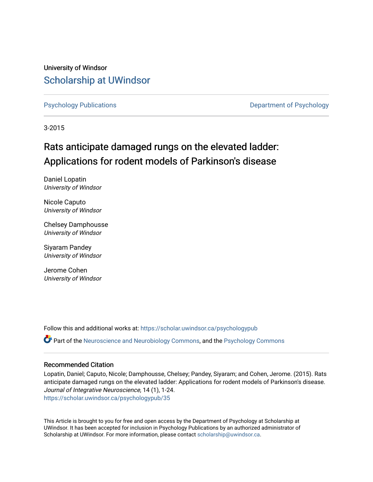University of Windsor [Scholarship at UWindsor](https://scholar.uwindsor.ca/) 

[Psychology Publications](https://scholar.uwindsor.ca/psychologypub) [Department of Psychology](https://scholar.uwindsor.ca/psychology) 

3-2015

# Rats anticipate damaged rungs on the elevated ladder: Applications for rodent models of Parkinson's disease

Daniel Lopatin University of Windsor

Nicole Caputo University of Windsor

Chelsey Damphousse University of Windsor

Siyaram Pandey University of Windsor

Jerome Cohen University of Windsor

Follow this and additional works at: [https://scholar.uwindsor.ca/psychologypub](https://scholar.uwindsor.ca/psychologypub?utm_source=scholar.uwindsor.ca%2Fpsychologypub%2F35&utm_medium=PDF&utm_campaign=PDFCoverPages)  Part of the [Neuroscience and Neurobiology Commons,](http://network.bepress.com/hgg/discipline/55?utm_source=scholar.uwindsor.ca%2Fpsychologypub%2F35&utm_medium=PDF&utm_campaign=PDFCoverPages) and the [Psychology Commons](http://network.bepress.com/hgg/discipline/404?utm_source=scholar.uwindsor.ca%2Fpsychologypub%2F35&utm_medium=PDF&utm_campaign=PDFCoverPages)

## Recommended Citation

Lopatin, Daniel; Caputo, Nicole; Damphousse, Chelsey; Pandey, Siyaram; and Cohen, Jerome. (2015). Rats anticipate damaged rungs on the elevated ladder: Applications for rodent models of Parkinson's disease. Journal of Integrative Neuroscience, 14 (1), 1-24. [https://scholar.uwindsor.ca/psychologypub/35](https://scholar.uwindsor.ca/psychologypub/35?utm_source=scholar.uwindsor.ca%2Fpsychologypub%2F35&utm_medium=PDF&utm_campaign=PDFCoverPages)

This Article is brought to you for free and open access by the Department of Psychology at Scholarship at UWindsor. It has been accepted for inclusion in Psychology Publications by an authorized administrator of Scholarship at UWindsor. For more information, please contact [scholarship@uwindsor.ca.](mailto:scholarship@uwindsor.ca)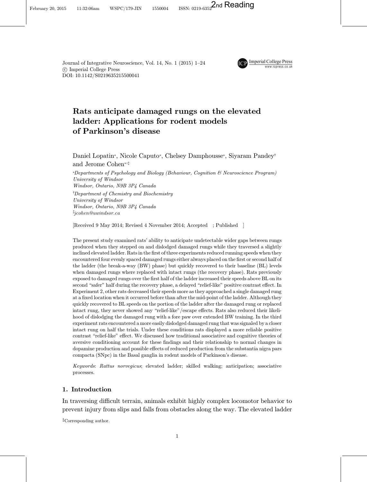Journal of Integrative Neuroscience, Vol. 14, No. 1 (2015) 1–24 *°*c Imperial College Press DOI[: 10.1142/S0219635215500041](http://dx.doi.org/10.1142/S0219635215500041)



## Rats anticipate damaged rungs on the elevated ladder: Applications for rodent models of Parkinson's disease

Daniel Lopatin\*, Nicole Caputo\*, Chelsey Damphousse\*, Siyaram Pandey† and Jerome Cohen\*'<sup>†</sup>

\*Departments of Psychology and Biology (Behaviour, Cognition & Neuroscience Program) University of Windsor Windsor, Ontario, N9B 3P4 Canada † Department of Chemistry and Biochemistry University of Windsor Windsor, Ontario, N9B 3P4 Canada ‡ jcohen@uwindsor.ca

[Received 9 May 2014; Revised 4 November 2014; Accepted ; Published ]

The present study examined rats' ability to anticipate undetectable wider gaps between rungs produced when they stepped on and dislodged damaged rungs while they traversed a slightly inclined elevated ladder. Rats in the first of three experiments reduced running speeds when they encountered four evenly spaced damaged rungs either always placed on the first or second half of the ladder (the break-a-way (BW) phase) but quickly recovered to their baseline (BL) levels when damaged rungs where replaced with intact rungs (the recovery phase). Rats previously exposed to damaged rungs over the first half of the ladder increased their speeds above BL on its second "safer" half during the recovery phase, a delayed "relief-like" positive contrast effect. In Experiment 2, other rats decreased their speeds more as they approached a single damaged rung at a fixed location when it occurred before than after the mid-point of the ladder. Although they quickly recovered to BL speeds on the portion of the ladder after the damaged rung or replaced intact rung, they never showed any "relief-like"/escape effects. Rats also reduced their likelihood of dislodging the damaged rung with a fore paw over extended BW training. In the third experiment rats encountered a more easily dislodged damaged rung that was signaled by a closer intact rung on half the trials. Under these conditions rats displayed a more reliable positive contrast "relief-like" effect. We discussed how traditional associative and cognitive theories of aversive conditioning account for these findings and their relationship to normal changes in dopamine production and possible effects of reduced production from the substantia nigra pars compacta (SNpc) in the Basal ganglia in rodent models of Parkinson's disease.

Keywords: Rattus norvegicus; elevated ladder; skilled walking; anticipation; associative processes.

## 1. Introduction

In traversing difficult terrain, animals exhibit highly complex locomotor behavior to prevent injury from slips and falls from obstacles along the way. The elevated ladder

‡Corresponding author.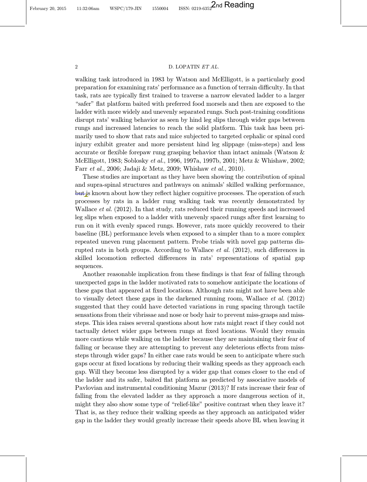## 2 D. LOPATIN ET AL.

walking task introduced in 1983 by Watson and McElligott, is a particularly good preparation for examining rats' performance as a function of terrain difficulty. In that task, rats are typically first trained to traverse a narrow elevated ladder to a larger "safer" flat platform baited with preferred food morsels and then are exposed to the ladder with more widely and unevenly separated rungs. Such post-training conditions disrupt rats' walking behavior as seen by hind leg slips through wider gaps between rungs and increased latencies to reach the solid platform. This task has been primarily used to show that rats and mice subjected to targeted cephalic or spinal cord injury exhibit greater and more persistent hind leg slippage (miss-steps) and less accurate or flexible forepaw rung grasping behavior than intact animals (Watson  $\&$ [McElligott](#page-24-0), [1983](#page-24-0); [Soblosky](#page-24-0) et al., [1996](#page-24-0), [1997a, 1997b, 2001](#page-24-0); [Metz & Whishaw, 2002](#page-23-0); Farr [et al.](#page-23-0), [2006](#page-23-0); [Jadaji & Metz, 2009](#page-23-0); [Whishaw](#page-24-0) et al., [2010](#page-24-0)).

These studies are important as they have been showing the contribution of spinal and supra-spinal structures and pathways on animals' skilled walking performance, but is known about how they reflect higher cognitive processes. The operation of such processes by rats in a ladder rung walking task was recently demonstrated by [Wallace](#page-24-0) et al. [\(2012](#page-24-0)). In that study, rats reduced their running speeds and increased leg slips when exposed to a ladder with unevenly spaced rungs after first learning to run on it with evenly spaced rungs. However, rats more quickly recovered to their baseline (BL) performance levels when exposed to a simpler than to a more complex repeated uneven rung placement pattern. Probe trials with novel gap patterns dis-rupted rats in both groups. According to [Wallace](#page-24-0) *et al.* [\(2012](#page-24-0)), such differences in skilled locomotion reflected differences in rats' representations of spatial gap sequences.

Another reasonable implication from these findings is that fear of falling through unexpected gaps in the ladder motivated rats to somehow anticipate the locations of these gaps that appeared at fixed locations. Although rats might not have been able to visually detect these gaps in the darkened running room, [Wallace](#page-24-0) et al. [\(2012](#page-24-0)) suggested that they could have detected variations in rung spacing through tactile sensations from their vibrissae and nose or body hair to prevent miss-grasps and misssteps. This idea raises several questions about how rats might react if they could not tactually detect wider gaps between rungs at fixed locations. Would they remain more cautious while walking on the ladder because they are maintaining their fear of falling or because they are attempting to prevent any deleterious effects from misssteps through wider gaps? In either case rats would be seen to anticipate where such gaps occur at fixed locations by reducing their walking speeds as they approach each gap. Will they become less disrupted by a wider gap that comes closer to the end of the ladder and its safer, baited flat platform as predicted by associative models of Pavlovian and instrumental conditioning [Mazur](#page-23-0) [\(2013](#page-23-0))? If rats increase their fear of falling from the elevated ladder as they approach a more dangerous section of it, might they also show some type of "relief-like" positive contrast when they leave it? That is, as they reduce their walking speeds as they approach an anticipated wider gap in the ladder they would greatly increase their speeds above BL when leaving it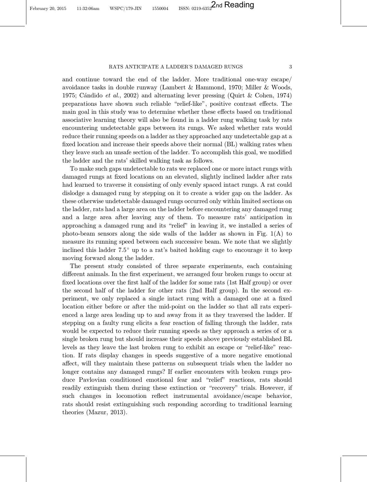and continue toward the end of the ladder. More traditional one-way escape/ avoidance tasks in double runway ([Lambert & Hammond](#page-23-0), [1970](#page-23-0); [Miller & Woods,](#page-23-0) [1975;](#page-23-0) [C](#page-22-0)á[ndido](#page-22-0) et al., [2002](#page-22-0)) and alternating lever pressing ([Quirt & Cohen](#page-23-0), [1974](#page-23-0)) preparations have shown such reliable "relief-like", positive contrast effects. The main goal in this study was to determine whether these effects based on traditional associative learning theory will also be found in a ladder rung walking task by rats encountering undetectable gaps between its rungs. We asked whether rats would reduce their running speeds on a ladder as they approached any undetectable gap at a fixed location and increase their speeds above their normal (BL) walking rates when they leave such an unsafe section of the ladder. To accomplish this goal, we modified the ladder and the rats' skilled walking task as follows.

To make such gaps undetectable to rats we replaced one or more intact rungs with damaged rungs at fixed locations on an elevated, slightly inclined ladder after rats had learned to traverse it consisting of only evenly spaced intact rungs. A rat could dislodge a damaged rung by stepping on it to create a wider gap on the ladder. As these otherwise undetectable damaged rungs occurred only within limited sections on the ladder, rats had a large area on the ladder before encountering any damaged rung and a large area after leaving any of them. To measure rats' anticipation in approaching a damaged rung and its \relief" in leaving it, we installed a series of photo-beam sensors along the side walls of the ladder as shown in Fig.  $1(A)$  to measure its running speed between each successive beam. We note that we slightly inclined this ladder  $7.5^{\circ}$  up to a rat's baited holding cage to encourage it to keep moving forward along the ladder.

The present study consisted of three separate experiments, each containing different animals. In the first experiment, we arranged four broken rungs to occur at fixed locations over the first half of the ladder for some rats (1st Half group) or over the second half of the ladder for other rats (2nd Half group). In the second experiment, we only replaced a single intact rung with a damaged one at a fixed location either before or after the mid-point on the ladder so that all rats experienced a large area leading up to and away from it as they traversed the ladder. If stepping on a faulty rung elicits a fear reaction of falling through the ladder, rats would be expected to reduce their running speeds as they approach a series of or a single broken rung but should increase their speeds above previously established BL levels as they leave the last broken rung to exhibit an escape or "relief-like" reaction. If rats display changes in speeds suggestive of a more negative emotional affect, will they maintain these patterns on subsequent trials when the ladder no longer contains any damaged rungs? If earlier encounters with broken rungs produce Pavlovian conditioned emotional fear and \relief" reactions, rats should readily extinguish them during these extinction or "recovery" trials. However, if such changes in locomotion reflect instrumental avoidance/escape behavior, rats should resist extinguishing such responding according to traditional learning theories [\(Mazur, 2013\)](#page-23-0).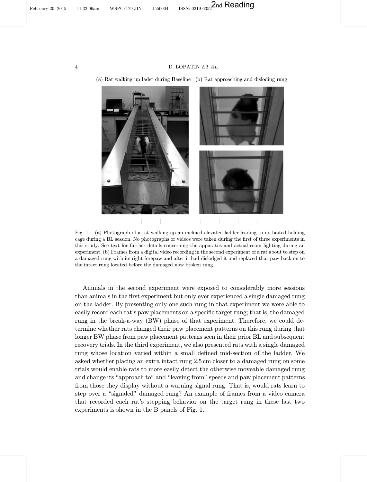<span id="page-4-0"></span>February 20, 2015 11:32:06am WSPC/179-JIN 1550004 ISSN: 0219-6352 2nd Reading

#### 4 D. LOPATIN ET AL.



(a) Rat walking up lader during Baseline (b) Rat approaching and disloding rung

Fig. 1. (a) Photograph of a rat walking up an inclined elevated ladder leading to its baited holding cage during a BL session. No photographs or videos were taken during the first of three experiments in this study. See text for further details concerning the apparatus and actual room lighting during an experiment. (b) Frames from a digital video recording in the second experiment of a rat about to step on a damaged rung with its right forepaw and after it had dislodged it and replaced that paw back on to the intact rung located before the damaged now broken rung.

Animals in the second experiment were exposed to considerably more sessions than animals in the first experiment but only ever experienced a single damaged rung on the ladder. By presenting only one such rung in that experiment we were able to easily record each rat's paw placements on a specific target rung; that is, the damaged rung in the break-a-way (BW) phase of that experiment. Therefore, we could determine whether rats changed their paw placement patterns on this rung during that longer BW phase from paw placement patterns seen in their prior BL and subsequent recovery trials. In the third experiment, we also presented rats with a single damaged rung whose location varied within a small defined mid-section of the ladder. We asked whether placing an extra intact rung 2.5 cm closer to a damaged rung on some trials would enable rats to more easily detect the otherwise moveable damaged rung and change its "approach to" and "leaving from" speeds and paw placement patterns from those they display without a warning signal rung. That is, would rats learn to step over a "signaled" damaged rung? An example of frames from a video camera that recorded each rat's stepping behavior on the target rung in these last two experiments is shown in the B panels of Fig. 1.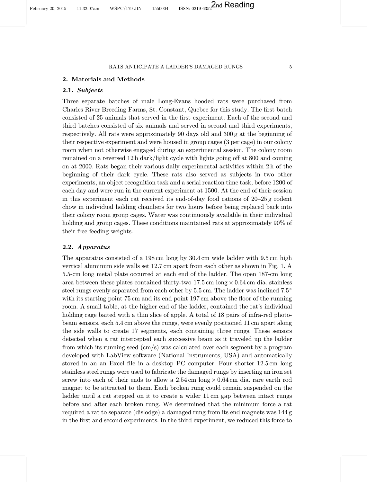## 2.1. Subjects

Three separate batches of male Long-Evans hooded rats were purchased from Charles River Breeding Farms, St. Constant, Quebec for this study. The first batch consisted of 25 animals that served in the first experiment. Each of the second and third batches consisted of six animals and served in second and third experiments, respectively. All rats were approximately 90 days old and 300 g at the beginning of their respective experiment and were housed in group cages (3 per cage) in our colony room when not otherwise engaged during an experimental session. The colony room remained on a reversed 12 h dark/light cycle with lights going off at 800 and coming on at 2000. Rats began their various daily experimental activities within 2 h of the beginning of their dark cycle. These rats also served as subjects in two other experiments, an object recognition task and a serial reaction time task, before 1200 of each day and were run in the current experiment at 1500. At the end of their session in this experiment each rat received its end-of-day food rations of 20–25 g rodent chow in individual holding chambers for two hours before being replaced back into their colony room group cages. Water was continuously available in their individual holding and group cages. These conditions maintained rats at approximately 90% of their free-feeding weights.

## 2.2. Apparatus

The apparatus consisted of a 198 cm long by 30.4 cm wide ladder with 9.5 cm high vertical aluminum side walls set 12.7 cm apart from each other as shown in Fig. [1](#page-4-0). A 5.5-cm long metal plate occurred at each end of the ladder. The open 187-cm long area between these plates contained thirty-two  $17.5 \text{ cm}$  long  $\times 0.64 \text{ cm}$  dia. stainless steel rungs evenly separated from each other by 5.5 cm. The ladder was inclined 7.5<sup>o</sup> with its starting point  $75 \text{ cm}$  and its end point  $197 \text{ cm}$  above the floor of the running room. A small table, at the higher end of the ladder, contained the rat's individual holding cage baited with a thin slice of apple. A total of 18 pairs of infra-red photobeam sensors, each 5.4 cm above the rungs, were evenly positioned 11 cm apart along the side walls to create 17 segments, each containing three rungs. These sensors detected when a rat intercepted each successive beam as it traveled up the ladder from which its running seed (cm/s) was calculated over each segment by a program developed with LabView software (National Instruments, USA) and automatically stored in an an Excel file in a desktop PC computer. Four shorter  $12.5 \text{ cm}$  long stainless steel rungs were used to fabricate the damaged rungs by inserting an iron set screw into each of their ends to allow a  $2.54 \text{ cm}$  long  $\times 0.64 \text{ cm}$  dia. rare earth rod magnet to be attracted to them. Each broken rung could remain suspended on the ladder until a rat stepped on it to create a wider 11 cm gap between intact rungs before and after each broken rung. We determined that the minimum force a rat required a rat to separate (dislodge) a damaged rung from its end magnets was 144 g in the first and second experiments. In the third experiment, we reduced this force to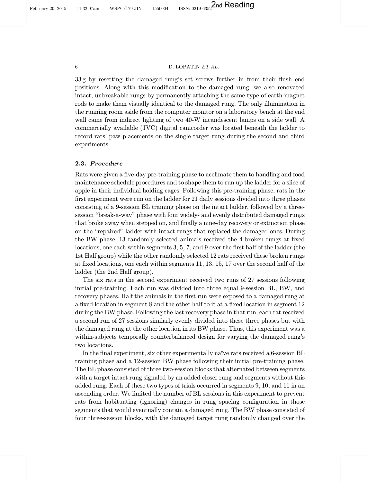February 20, 2015 11:32:07am WSPC/179-JIN 1550004 ISSN: 0219-6352 2nd Reading

## 6 D. LOPATIN ET AL.

 $33 g$  by resetting the damaged rung's set screws further in from their flush end positions. Along with this modification to the damaged rung, we also renovated intact, unbreakable rungs by permanently attaching the same type of earth magnet rods to make them visually identical to the damaged rung. The only illumination in the running room aside from the computer monitor on a laboratory bench at the end wall came from indirect lighting of two 40-W incandescent lamps on a side wall. A commercially available (JVC) digital camcorder was located beneath the ladder to record rats' paw placements on the single target rung during the second and third experiments.

## 2.3. Procedure

Rats were given a five-day pre-training phase to acclimate them to handling and food maintenance schedule procedures and to shape them to run up the ladder for a slice of apple in their individual holding cages. Following this pre-training phase, rats in the first experiment were run on the ladder for 21 daily sessions divided into three phases consisting of a 9-session BL training phase on the intact ladder, followed by a threesession "break-a-way" phase with four widely- and evenly distributed damaged rungs that broke away when stepped on, and finally a nine-day recovery or extinction phase on the \repaired" ladder with intact rungs that replaced the damaged ones. During the BW phase,  $13$  randomly selected animals received the 4 broken rungs at fixed locations, one each within segments  $3, 5, 7$ , and  $9$  over the first half of the ladder (the 1st Half group) while the other randomly selected 12 rats received these broken rungs at fixed locations, one each within segments  $11, 13, 15, 17$  over the second half of the ladder (the 2nd Half group).

The six rats in the second experiment received two runs of 27 sessions following initial pre-training. Each run was divided into three equal 9-session BL, BW, and recovery phases. Half the animals in the first run were exposed to a damaged rung at a fixed location in segment 8 and the other half to it at a fixed location in segment 12 during the BW phase. Following the last recovery phase in that run, each rat received a second run of 27 sessions similarly evenly divided into these three phases but with the damaged rung at the other location in its BW phase. Thus, this experiment was a within-subjects temporally counterbalanced design for varying the damaged rung's two locations.

In the final experiment, six other experimentally naïve rats received a 6-session BL training phase and a 12-session BW phase following their initial pre-training phase. The BL phase consisted of three two-session blocks that alternated between segments with a target intact rung signaled by an added closer rung and segments without this added rung. Each of these two types of trials occurred in segments 9, 10, and 11 in an ascending order. We limited the number of BL sessions in this experiment to prevent rats from habituating (ignoring) changes in rung spacing configuration in those segments that would eventually contain a damaged rung. The BW phase consisted of four three-session blocks, with the damaged target rung randomly changed over the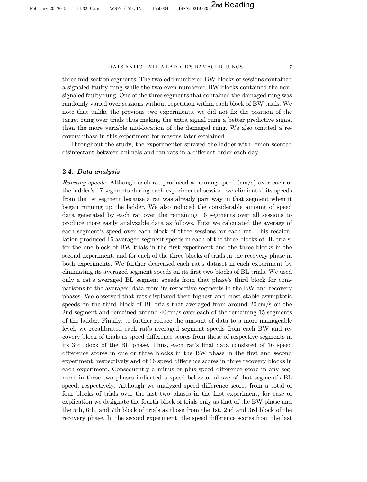three mid-section segments. The two odd numbered BW blocks of sessions contained a signaled faulty rung while the two even numbered BW blocks contained the nonsignaled faulty rung. One of the three segments that contained the damaged rung was randomly varied over sessions without repetition within each block of BW trials. We note that unlike the previous two experiments, we did not fix the position of the target rung over trials thus making the extra signal rung a better predictive signal than the more variable mid-location of the damaged rung. We also omitted a recovery phase in this experiment for reasons later explained.

Throughout the study, the experimenter sprayed the ladder with lemon scented disinfectant between animals and ran rats in a different order each day.

## 2.4. Data analysis

Running speeds. Although each rat produced a running speed (cm/s) over each of the ladder's 17 segments during each experimental session, we eliminated its speeds from the 1st segment because a rat was already part way in that segment when it began running up the ladder. We also reduced the considerable amount of speed data generated by each rat over the remaining 16 segments over all sessions to produce more easily analyzable data as follows. First we calculated the average of each segment's speed over each block of three sessions for each rat. This recalculation produced 16 averaged segment speeds in each of the three blocks of BL trials, for the one block of BW trials in the first experiment and the three blocks in the second experiment, and for each of the three blocks of trials in the recovery phase in both experiments. We further decreased each rat's dataset in each experiment by eliminating its averaged segment speeds on its first two blocks of BL trials. We used only a rat's averaged BL segment speeds from that phase's third block for comparisons to the averaged data from its respective segments in the BW and recovery phases. We observed that rats displayed their highest and most stable asymptotic speeds on the third block of BL trials that averaged from around  $20 \text{ cm/s}$  on the 2nd segment and remained around 40 cm/s over each of the remaining 15 segments of the ladder. Finally, to further reduce the amount of data to a more manageable level, we recalibrated each rat's averaged segment speeds from each BW and recovery block of trials as speed difference scores from those of respective segments in its 3rd block of the BL phase. Thus, each rat's final data consisted of 16 speed difference scores in one or three blocks in the BW phase in the first and second experiment, respectively and of 16 speed difference scores in three recovery blocks in each experiment. Consequently a minus or plus speed difference score in any segment in these two phases indicated a speed below or above of that segment's BL speed, respectively. Although we analyzed speed difference scores from a total of four blocks of trials over the last two phases in the first experiment, for ease of explication we designate the fourth block of trials only as that of the BW phase and the 5th, 6th, and 7th block of trials as those from the 1st, 2nd and 3rd block of the recovery phase. In the second experiment, the speed difference scores from the last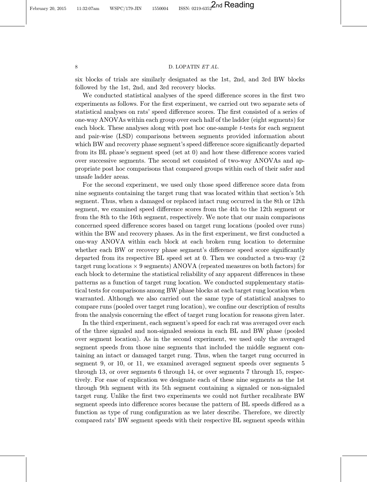#### 8 D. LOPATIN ET AL.

six blocks of trials are similarly designated as the 1st, 2nd, and 3rd BW blocks followed by the 1st, 2nd, and 3rd recovery blocks.

We conducted statistical analyses of the speed difference scores in the first two experiments as follows. For the first experiment, we carried out two separate sets of statistical analyses on rats' speed difference scores. The first consisted of a series of one-way ANOVAs within each group over each half of the ladder (eight segments) for each block. These analyses along with post hoc one-sample t-tests for each segment and pair-wise (LSD) comparisons between segments provided information about which BW and recovery phase segment's speed difference score significantly departed from its BL phase's segment speed (set at  $0$ ) and how these difference scores varied over successive segments. The second set consisted of two-way ANOVAs and appropriate post hoc comparisons that compared groups within each of their safer and unsafe ladder areas.

For the second experiment, we used only those speed difference score data from nine segments containing the target rung that was located within that section's 5th segment. Thus, when a damaged or replaced intact rung occurred in the 8th or 12th segment, we examined speed difference scores from the 4th to the 12th segment or from the 8th to the 16th segment, respectively. We note that our main comparisons concerned speed difference scores based on target rung locations (pooled over runs) within the BW and recovery phases. As in the first experiment, we first conducted a one-way ANOVA within each block at each broken rung location to determine whether each BW or recovery phase segment's difference speed score significantly departed from its respective BL speed set at 0. Then we conducted a two-way (2  $target$  rung locations  $\times$  9 segments) ANOVA (repeated measures on both factors) for each block to determine the statistical reliability of any apparent differences in these patterns as a function of target rung location. We conducted supplementary statistical tests for comparisons among BW phase blocks at each target rung location when warranted. Although we also carried out the same type of statistical analyses to compare runs (pooled over target rung location), we confine our description of results from the analysis concerning the effect of target rung location for reasons given later.

In the third experiment, each segment's speed for each rat was averaged over each of the three signaled and non-signaled sessions in each BL and BW phase (pooled over segment location). As in the second experiment, we used only the averaged segment speeds from those nine segments that included the middle segment containing an intact or damaged target rung. Thus, when the target rung occurred in segment 9, or 10, or 11, we examined averaged segment speeds over segments 5 through 13, or over segments 6 through 14, or over segments 7 through 15, respectively. For ease of explication we designate each of these nine segments as the 1st through 9th segment with its 5th segment containing a signaled or non-signaled target rung. Unlike the first two experiments we could not further recalibrate BW segment speeds into difference scores because the pattern of BL speeds differed as a function as type of rung configuration as we later describe. Therefore, we directly compared rats' BW segment speeds with their respective BL segment speeds within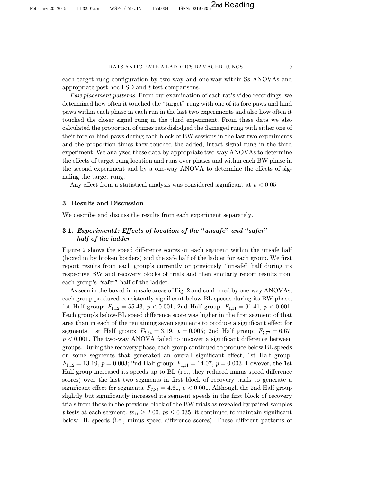each target rung configuration by two-way and one-way within-Ss ANOVAs and appropriate post hoc LSD and t-test comparisons.

Paw placement patterns. From our examination of each rat's video recordings, we determined how often it touched the \target" rung with one of its fore paws and hind paws within each phase in each run in the last two experiments and also how often it touched the closer signal rung in the third experiment. From these data we also calculated the proportion of times rats dislodged the damaged rung with either one of their fore or hind paws during each block of BW sessions in the last two experiments and the proportion times they touched the added, intact signal rung in the third experiment. We analyzed these data by appropriate two-way ANOVAs to determine the effects of target rung location and runs over phases and within each BW phase in the second experiment and by a one-way ANOVA to determine the effects of signaling the target rung.

Any effect from a statistical analysis was considered significant at  $p < 0.05$ .

## 3. Results and Discussion

We describe and discuss the results from each experiment separately.

## 3.1. Experiment1: Effects of location of the "unsafe" and "safer" half of the ladder

Figure [2](#page-10-0) shows the speed difference scores on each segment within the unsafe half (boxed in by broken borders) and the safe half of the ladder for each group. We first report results from each group's currently or previously "unsafe" half during its respective BW and recovery blocks of trials and then similarly report results from each group's "safer" half of the ladder.

As seen in the boxed-in unsafe areas of Fig. [2](#page-10-0) and confirmed by one-way ANOVAs, each group produced consistently significant below-BL speeds during its BW phase, 1st Half group:  $F_{1,12} = 55.43$ ,  $p < 0.001$ ; 2nd Half group:  $F_{1,11} = 91.41$ ,  $p < 0.001$ . Each group's below-BL speed difference score was higher in the first segment of that area than in each of the remaining seven segments to produce a significant effect for segments, 1st Half group:  $F_{7,84} = 3.19$ ,  $p = 0.005$ ; 2nd Half group:  $F_{7,77} = 6.67$ ,  $p < 0.001$ . The two-way ANOVA failed to uncover a significant difference between groups. During the recovery phase, each group continued to produce below BL speeds on some segments that generated an overall significant effect, 1st Half group:  $F_{1,12} = 13.19, p = 0.003;$  2nd Half group:  $F_{1,11} = 14.07, p = 0.003$ . However, the 1st Half group increased its speeds up to BL (i.e., they reduced minus speed difference scores) over the last two segments in first block of recovery trials to generate a significant effect for segments,  $F_{7,84} = 4.61, p < 0.001$ . Although the 2nd Half group slightly but significantly increased its segment speeds in the first block of recovery trials from those in the previous block of the BW trials as revealed by paired-samples t-tests at each segment,  $t_{s11} \geq 2.00$ ,  $p_s \leq 0.035$ , it continued to maintain significant below BL speeds (i.e., minus speed difference scores). These different patterns of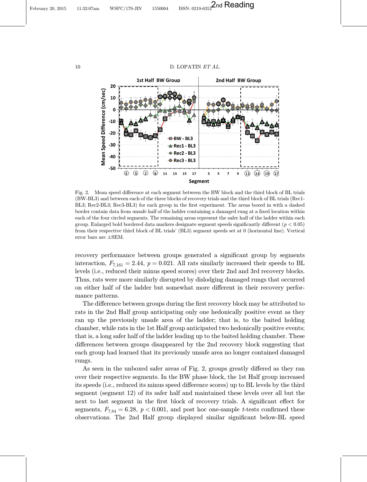<span id="page-10-0"></span>February 20, 2015 11:32:07am WSPC/179-JIN 1550004 ISSN: 0219-6352 2nd Reading



### 10  $D.$  LOPATIN *ET AL.*



Fig. 2. Mean speed difference at each segment between the BW block and the third block of BL trials (BW-BL3) and between each of the three blocks of recovery trials and the third block of BL trials (Rec1- BL3; Rec2-BL3; Rec3-BL3) for each group in the first experiment. The areas boxed in with a dashed border contain data from unsafe half of the ladder containing a damaged rung at a fixed location within each of the four circled segments. The remaining areas represent the safer half of the ladder within each group. Enlarged bold bordered data markers designate segment speeds significantly different ( $p < 0.05$ ) from their respective third block of BL trials' (BL3) segment speeds set at 0 (horizontal line). Vertical error bars are  $\pm$ SEM.

recovery performance between groups generated a significant group by segments interaction,  $F_{7,161} = 2.44$ ,  $p = 0.021$ . All rats similarly increased their speeds to BL levels (i.e., reduced their minus speed scores) over their 2nd and 3rd recovery blocks. Thus, rats were more similarly disrupted by dislodging damaged rungs that occurred on either half of the ladder but somewhat more different in their recovery performance patterns.

The difference between groups during the first recovery block may be attributed to rats in the 2nd Half group anticipating only one hedonically positive event as they ran up the previously unsafe area of the ladder; that is, to the baited holding chamber, while rats in the 1st Half group anticipated two hedonically positive events; that is, a long safer half of the ladder leading up to the baited holding chamber. These differences between groups disappeared by the 2nd recovery block suggesting that each group had learned that its previously unsafe area no longer contained damaged rungs.

As seen in the unboxed safer areas of Fig. 2, groups greatly differed as they ran over their respective segments. In the BW phase block, the 1st Half group increased its speeds (i.e., reduced its minus speed difference scores) up to BL levels by the third segment (segment 12) of its safer half and maintained these levels over all but the next to last segment in the first block of recovery trials. A significant effect for segments,  $F_{7,84} = 6.28$ ,  $p < 0.001$ , and post hoc one-sample t-tests confirmed these observations. The 2nd Half group displayed similar significant below-BL speed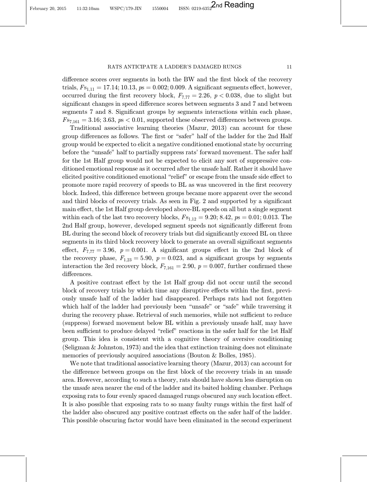difference scores over segments in both the BW and the first block of the recovery trials,  $F_{51;11} = 17.14; 10.13, ps = 0.002; 0.009$ . A significant segments effect, however, occurred during the first recovery block,  $F_{7,77} = 2.26$ ,  $p < 0.038$ , due to slight but significant changes in speed difference scores between segments 3 and 7 and between segments 7 and 8. Significant groups by segments interactions within each phase,  $F_{57,161} = 3.16; 3.63, p s < 0.01$ , supported these observed differences between groups.

Traditional associative learning theories ([Mazur](#page-23-0), [2013](#page-23-0)) can account for these group differences as follows. The first or "safer" half of the ladder for the 2nd Half group would be expected to elicit a negative conditioned emotional state by occurring before the "unsafe" half to partially suppress rats' forward movement. The safer half for the 1st Half group would not be expected to elicit any sort of suppressive conditioned emotional response as it occurred after the unsafe half. Rather it should have elicited positive conditioned emotional "relief" or escape from the unsafe side effect to promote more rapid recovery of speeds to BL as was uncovered in the first recovery block. Indeed, this difference between groups became more apparent over the second and third blocks of recovery trials. As seen in Fig. [2](#page-10-0) and supported by a significant main effect, the 1st Half group developed above-BL speeds on all but a single segment within each of the last two recovery blocks,  $F_{51,12} = 9.20; 8.42, p_s = 0.01; 0.013$ . The 2nd Half group, however, developed segment speeds not significantly different from BL during the second block of recovery trials but did significantly exceed BL on three segments in its third block recovery block to generate an overall significant segments effect,  $F_{7,77} = 3.96$ ,  $p = 0.001$ . A significant groups effect in the 2nd block of the recovery phase,  $F_{1,23} = 5.90, p = 0.023,$  and a significant groups by segments interaction the 3rd recovery block,  $F_{7,161} = 2.90, p = 0.007$ , further confirmed these differences.

A positive contrast effect by the 1st Half group did not occur until the second block of recovery trials by which time any disruptive effects within the first, previously unsafe half of the ladder had disappeared. Perhaps rats had not forgotten which half of the ladder had previously been "unsafe" or "safe" while traversing it during the recovery phase. Retrieval of such memories, while not sufficient to reduce (suppress) forward movement below BL within a previously unsafe half, may have been sufficient to produce delayed "relief" reactions in the safer half for the 1st Half group. This idea is consistent with a cognitive theory of aversive conditioning [\(Seligman & Johnston, 1973](#page-23-0)) and the idea that extinction training does not eliminate memories of previously acquired associations ([Bouton & Bolles](#page-22-0), [1985](#page-22-0)).

We note that traditional associative learning theory [\(Mazur, 2013](#page-23-0)) can account for the difference between groups on the first block of the recovery trials in an unsafe area. However, according to such a theory, rats should have shown less disruption on the unsafe area nearer the end of the ladder and its baited holding chamber. Perhaps exposing rats to four evenly spaced damaged rungs obscured any such location effect. It is also possible that exposing rats to so many faulty rungs within the first half of the ladder also obscured any positive contrast effects on the safer half of the ladder. This possible obscuring factor would have been eliminated in the second experiment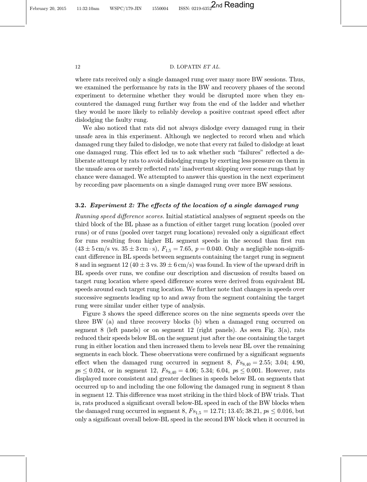February 20, 2015 11:32:10am WSPC/179-JIN 1550004 ISSN: 0219-6352 2nd Reading

#### 12 D. LOPATIN ET AL.

where rats received only a single damaged rung over many more BW sessions. Thus, we examined the performance by rats in the BW and recovery phases of the second experiment to determine whether they would be disrupted more when they encountered the damaged rung further way from the end of the ladder and whether they would be more likely to reliably develop a positive contrast speed effect after dislodging the faulty rung.

We also noticed that rats did not always dislodge every damaged rung in their unsafe area in this experiment. Although we neglected to record when and which damaged rung they failed to dislodge, we note that every rat failed to dislodge at least one damaged rung. This effect led us to ask whether such "failures" reflected a deliberate attempt by rats to avoid dislodging rungs by exerting less pressure on them in the unsafe area or merely reflected rats' inadvertent skipping over some rungs that by chance were damaged. We attempted to answer this question in the next experiment by recording paw placements on a single damaged rung over more BW sessions.

## 3.2. Experiment 2: The effects of the location of a single damaged rung

Running speed difference scores. Initial statistical analyses of segment speeds on the third block of the BL phase as a function of either target rung location (pooled over runs) or of runs (pooled over target rung locations) revealed only a significant effect for runs resulting from higher BL segment speeds in the second than first run  $(43 \pm 5 \text{ cm/s vs. } 35 \pm 3 \text{ cm} \cdot \text{s}), F_{1.5} = 7.65, p = 0.040$ . Only a negligible non-significant difference in BL speeds between segments containing the target rung in segment 8 and in segment 12 (40  $\pm$  3 vs. 39  $\pm$  6 cm/s) was found. In view of the upward drift in BL speeds over runs, we confine our description and discussion of results based on target rung location where speed difference scores were derived from equivalent BL speeds around each target rung location. We further note that changes in speeds over successive segments leading up to and away from the segment containing the target rung were similar under either type of analysis.

Figure [3](#page-13-0) shows the speed difference scores on the nine segments speeds over the three BW (a) and three recovery blocks (b) when a damaged rung occurred on segment 8 (left panels) or on segment 12 (right panels). As seen Fig. [3\(a\)](#page-13-0), rats reduced their speeds below BL on the segment just after the one containing the target rung in either location and then increased them to levels near BL over the remaining segments in each block. These observations were confirmed by a significant segments effect when the damaged rung occurred in segment 8,  $F_{s8,40} = 2.55$ ; 3.04; 4.90,  $p_s \leq 0.024$ , or in segment 12,  $F_{s_{8,40}} = 4.06$ ; 5.34; 6.04,  $p_s \leq 0.001$ . However, rats displayed more consistent and greater declines in speeds below BL on segments that occurred up to and including the one following the damaged rung in segment 8 than in segment 12. This difference was most striking in the third block of BW trials. That is, rats produced a significant overall below-BL speed in each of the BW blocks when the damaged rung occurred in segment 8,  $F_{s_{1,5}} = 12.71$ ; 13.45; 38.21,  $p_s \le 0.016$ , but only a significant overall below-BL speed in the second BW block when it occurred in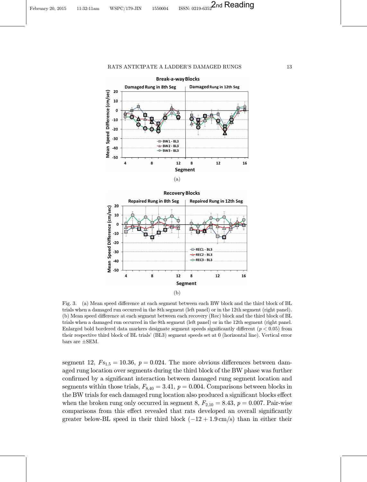<span id="page-13-0"></span>

(a)



Fig. 3. (a) Mean speed difference at each segment between each BW block and the third block of BL trials when a damaged run occurred in the 8th segment (left panel) or in the 12th segment (right panel). (b) Mean speed difference at each segment between each recovery (Rec) block and the third block of BL trials when a damaged run occurred in the 8th segment (left panel) or in the 12th segment (right panel. Enlarged bold bordered data markers designate segment speeds significantly different ( $p < 0.05$ ) from their respective third block of BL trials' (BL3) segment speeds set at 0 (horizontal line). Vertical error bars are  $\pm$ SEM.

segment 12,  $F_{S_{1,5}} = 10.36, p = 0.024$ . The more obvious differences between damaged rung location over segments during the third block of the BW phase was further confirmed by a significant interaction between damaged rung segment location and segments within those trials,  $F_{8,40} = 3.41$ ,  $p = 0.004$ . Comparisons between blocks in the BW trials for each damaged rung location also produced a significant blocks effect when the broken rung only occurred in segment 8,  $F_{2,10} = 8.43$ ,  $p = 0.007$ . Pair-wise comparisons from this effect revealed that rats developed an overall significantly greater below-BL speed in their third block  $(-12 + 1.9 \text{ cm/s})$  than in either their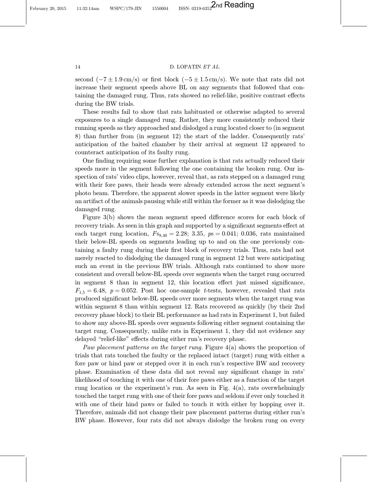## 14 D. LOPATIN ET AL.

second  $(-7 \pm 1.9 \text{ cm/s})$  or first block  $(-5 \pm 1.5 \text{ cm/s})$ . We note that rats did not increase their segment speeds above BL on any segments that followed that containing the damaged rung. Thus, rats showed no relief-like, positive contrast effects during the BW trials.

These results fail to show that rats habituated or otherwise adapted to several exposures to a single damaged rung. Rather, they more consistently reduced their running speeds as they approached and dislodged a rung located closer to (in segment 8) than further from (in segment 12) the start of the ladder. Consequently rats' anticipation of the baited chamber by their arrival at segment 12 appeared to counteract anticipation of its faulty rung.

One finding requiring some further explanation is that rats actually reduced their speeds more in the segment following the one containing the broken rung. Our inspection of rats' video clips, however, reveal that, as rats stepped on a damaged rung with their fore paws, their heads were already extended across the next segment's photo beam. Therefore, the apparent slower speeds in the latter segment were likely an artifact of the animals pausing while still within the former as it was dislodging the damaged rung.

Figure  $3(b)$  shows the mean segment speed difference scores for each block of recovery trials. As seen in this graph and supported by a significant segments effect at each target rung location,  $F_{88,40} = 2.28$ ; 3.35,  $ps = 0.041$ ; 0.036, rats maintained their below-BL speeds on segments leading up to and on the one previously containing a faulty rung during their first block of recovery trials. Thus, rats had not merely reacted to dislodging the damaged rung in segment 12 but were anticipating such an event in the previous BW trials. Although rats continued to show more consistent and overall below-BL speeds over segments when the target rung occurred in segment  $8$  than in segment  $12$ , this location effect just missed significance,  $F_{1,5} = 6.48, p = 0.052$ . Post hoc one-sample t-tests, however, revealed that rats produced significant below-BL speeds over more segments when the target rung was within segment 8 than within segment 12. Rats recovered as quickly (by their 2nd recovery phase block) to their BL performance as had rats in Experiment 1, but failed to show any above-BL speeds over segments following either segment containing the target rung. Consequently, unlike rats in Experiment 1, they did not evidence any delayed "relief-like" effects during either run's recovery phase.

Paw placement patterns on the target rung. Figure [4\(a\)](#page-15-0) shows the proportion of trials that rats touched the faulty or the replaced intact (target) rung with either a fore paw or hind paw or stepped over it in each run's respective BW and recovery phase. Examination of these data did not reveal any significant change in rats' likelihood of touching it with one of their fore paws either as a function of the target rung location or the experiment's run. As seen in Fig. [4\(a\),](#page-15-0) rats overwhelmingly touched the target rung with one of their fore paws and seldom if ever only touched it with one of their hind paws or failed to touch it with either by hopping over it. Therefore, animals did not change their paw placement patterns during either run's BW phase. However, four rats did not always dislodge the broken rung on every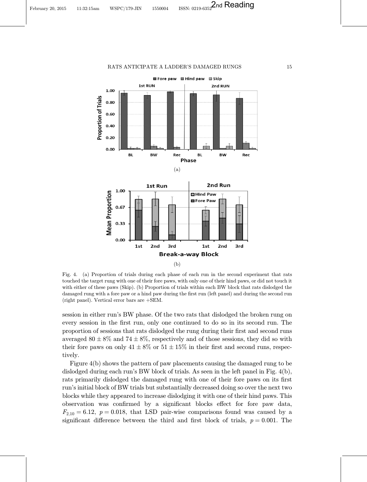<span id="page-15-0"></span>



Fig. 4. (a) Proportion of trials during each phase of each run in the second experiment that rats touched the target rung with one of their fore paws, with only one of their hind paws, or did not touch it with either of these paws (Skip). (b) Proportion of trials within each BW block that rats dislodged the damaged rung with a fore paw or a hind paw during the first run (left panel) and during the second run (right panel). Vertical error bars are  $+SEM$ .

session in either run's BW phase. Of the two rats that dislodged the broken rung on every session in the first run, only one continued to do so in its second run. The proportion of sessions that rats dislodged the rung during their first and second runs averaged  $80 \pm 8\%$  and  $74 \pm 8\%$ , respectively and of those sessions, they did so with their fore paws on only  $41 \pm 8\%$  or  $51 \pm 15\%$  in their first and second runs, respectively.

Figure 4(b) shows the pattern of paw placements causing the damaged rung to be dislodged during each run's BW block of trials. As seen in the left panel in Fig. 4(b), rats primarily dislodged the damaged rung with one of their fore paws on its first run's initial block of BW trials but substantially decreased doing so over the next two blocks while they appeared to increase dislodging it with one of their hind paws. This observation was confirmed by a significant blocks effect for fore paw data,  $F_{2,10} = 6.12$ ,  $p = 0.018$ , that LSD pair-wise comparisons found was caused by a significant difference between the third and first block of trials,  $p = 0.001$ . The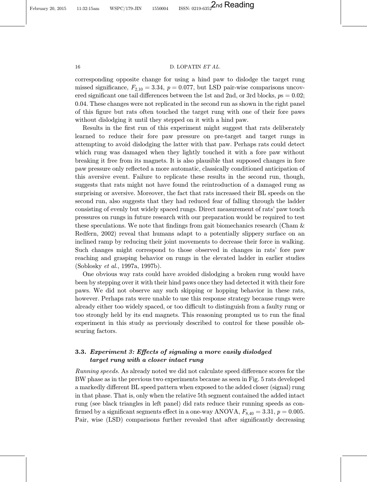February 20, 2015 11:32:15am WSPC/179-JIN 1550004 ISSN: 0219-6352 2nd Reading

#### 16 D. LOPATIN ET AL.

corresponding opposite change for using a hind paw to dislodge the target rung missed significance,  $F_{2,10} = 3.34$ ,  $p = 0.077$ , but LSD pair-wise comparisons uncovered significant one tail differences between the 1st and 2nd, or 3rd blocks,  $p_s = 0.02$ ; 0.04. These changes were not replicated in the second run as shown in the right panel of this figure but rats often touched the target rung with one of their fore paws without dislodging it until they stepped on it with a hind paw.

Results in the first run of this experiment might suggest that rats deliberately learned to reduce their fore paw pressure on pre-target and target rungs in attempting to avoid dislodging the latter with that paw. Perhaps rats could detect which rung was damaged when they lightly touched it with a fore paw without breaking it free from its magnets. It is also plausible that supposed changes in fore paw pressure only reflected a more automatic, classically conditioned anticipation of this aversive event. Failure to replicate these results in the second run, though, suggests that rats might not have found the reintroduction of a damaged rung as surprising or aversive. Moreover, the fact that rats increased their BL speeds on the second run, also suggests that they had reduced fear of falling through the ladder consisting of evenly but widely spaced rungs. Direct measurement of rats' paw touch pressures on rungs in future research with our preparation would be required to test these speculations. We note that findings from gait biomechanics research (Cham  $\&$ [Redfern](#page-22-0), [2002\)](#page-22-0) reveal that humans adapt to a potentially slippery surface on an inclined ramp by reducing their joint movements to decrease their force in walking. Such changes might correspond to those observed in changes in rats' fore paw reaching and grasping behavior on rungs in the elevated ladder in earlier studies [\(Soblosky](#page-24-0) et al., [1997a, 1997b](#page-24-0)).

One obvious way rats could have avoided dislodging a broken rung would have been by stepping over it with their hind paws once they had detected it with their fore paws. We did not observe any such skipping or hopping behavior in these rats, however. Perhaps rats were unable to use this response strategy because rungs were already either too widely spaced, or too difficult to distinguish from a faulty rung or too strongly held by its end magnets. This reasoning prompted us to run the final experiment in this study as previously described to control for these possible obscuring factors.

## 3.3. Experiment 3: Effects of signaling a more easily dislodged target rung with a closer intact rung

Running speeds. As already noted we did not calculate speed difference scores for the BW phase as in the previous two experiments because as seen in Fig. [5](#page-17-0) rats developed a markedly different BL speed pattern when exposed to the added closer (signal) rung in that phase. That is, only when the relative 5th segment contained the added intact rung (see black triangles in left panel) did rats reduce their running speeds as con firmed by a significant segments effect in a one-way ANOVA,  $F_{8,40} = 3.31$ ,  $p = 0.005$ . Pair, wise (LSD) comparisons further revealed that after significantly decreasing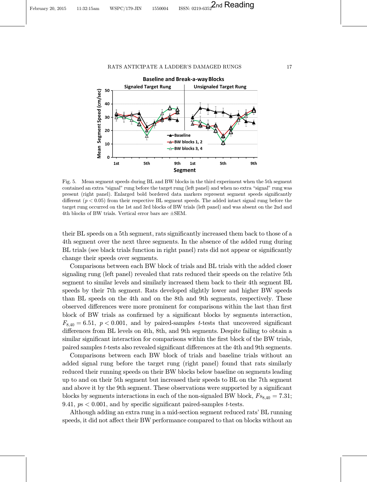<span id="page-17-0"></span>

Fig. 5. Mean segment speeds during BL and BW blocks in the third experiment when the 5th segment contained an extra "signal" rung before the target rung (left panel) and when no extra "signal" rung was present (right panel). Enlarged bold bordered data markers represent segment speeds significantly different ( $p < 0.05$ ) from their respective BL segment speeds. The added intact signal rung before the target rung occurred on the 1st and 3rd blocks of BW trials (left panel) and was absent on the 2nd and 4th blocks of BW trials. Vertical error bars are  $\pm$ SEM.

their BL speeds on a 5th segment, rats significantly increased them back to those of a 4th segment over the next three segments. In the absence of the added rung during BL trials (see black trials function in right panel) rats did not appear or significantly change their speeds over segments.

Comparisons between each BW block of trials and BL trials with the added closer signaling rung (left panel) revealed that rats reduced their speeds on the relative 5th segment to similar levels and similarly increased them back to their 4th segment BL speeds by their 7th segment. Rats developed slightly lower and higher BW speeds than BL speeds on the 4th and on the 8th and 9th segments, respectively. These observed differences were more prominent for comparisons within the last than first block of BW trials as confirmed by a significant blocks by segments interaction,  $F_{8,40} = 6.51, p < 0.001$ , and by paired-samples t-tests that uncovered significant differences from BL levels on 4th, 8th, and 9th segments. Despite failing to obtain a similar significant interaction for comparisons within the first block of the BW trials, paired samples t-tests also revealed significant differences at the 4th and 9th segments.

Comparisons between each BW block of trials and baseline trials without an added signal rung before the target rung (right panel) found that rats similarly reduced their running speeds on their BW blocks below baseline on segments leading up to and on their 5th segment but increased their speeds to BL on the 7th segment and above it by the 9th segment. These observations were supported by a significant blocks by segments interactions in each of the non-signaled BW block,  $F_{88,40} = 7.31$ ; 9.41,  $p_s < 0.001$ , and by specific significant paired-samples t-tests.

Although adding an extra rung in a mid-section segment reduced rats' BL running speeds, it did not affect their BW performance compared to that on blocks without an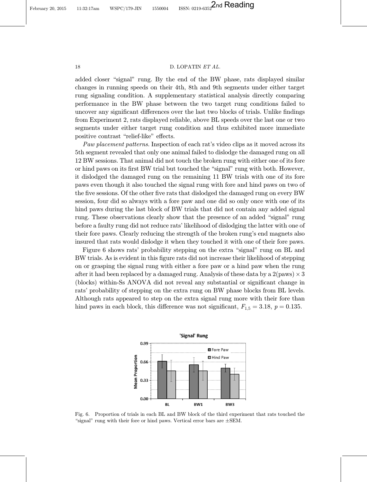February 20, 2015 11:32:17am WSPC/179-JIN 1550004 ISSN: 0219-6352 2nd Reading

## 18 D. LOPATIN ET AL.

added closer "signal" rung. By the end of the BW phase, rats displayed similar changes in running speeds on their 4th, 8th and 9th segments under either target rung signaling condition. A supplementary statistical analysis directly comparing performance in the BW phase between the two target rung conditions failed to uncover any significant differences over the last two blocks of trials. Unlike findings from Experiment 2, rats displayed reliable, above BL speeds over the last one or two segments under either target rung condition and thus exhibited more immediate positive contrast "relief-like" effects.

Paw placement patterns. Inspection of each rat's video clips as it moved across its 5th segment revealed that only one animal failed to dislodge the damaged rung on all 12 BW sessions. That animal did not touch the broken rung with either one of its fore or hind paws on its first BW trial but touched the "signal" rung with both. However, it dislodged the damaged rung on the remaining 11 BW trials with one of its fore paws even though it also touched the signal rung with fore and hind paws on two of the five sessions. Of the other five rats that dislodged the damaged rung on every BW session, four did so always with a fore paw and one did so only once with one of its hind paws during the last block of BW trials that did not contain any added signal rung. These observations clearly show that the presence of an added "signal" rung before a faulty rung did not reduce rats' likelihood of dislodging the latter with one of their fore paws. Clearly reducing the strength of the broken rung's end magnets also insured that rats would dislodge it when they touched it with one of their fore paws.

Figure 6 shows rats' probability stepping on the extra "signal" rung on BL and BW trials. As is evident in this figure rats did not increase their likelihood of stepping on or grasping the signal rung with either a fore paw or a hind paw when the rung after it had been replaced by a damaged rung. Analysis of these data by a  $2(\text{paws}) \times 3$ (blocks) within-Ss ANOVA did not reveal any substantial or significant change in rats' probability of stepping on the extra rung on BW phase blocks from BL levels. Although rats appeared to step on the extra signal rung more with their fore than hind paws in each block, this difference was not significant,  $F_{1,5} = 3.18$ ,  $p = 0.135$ .



Fig. 6. Proportion of trials in each BL and BW block of the third experiment that rats touched the "signal" rung with their fore or hind paws. Vertical error bars are  $\pm$ SEM.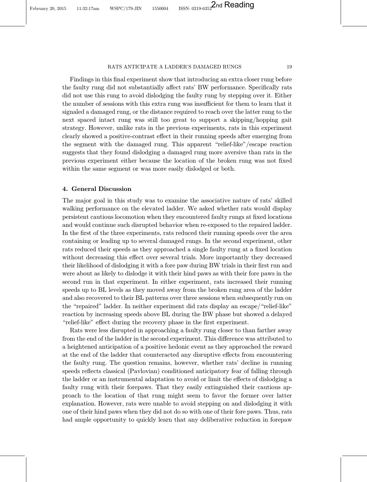Findings in this final experiment show that introducing an extra closer rung before the faulty rung did not substantially affect rats' BW performance. Specifically rats did not use this rung to avoid dislodging the faulty rung by stepping over it. Either the number of sessions with this extra rung was insufficient for them to learn that it signaled a damaged rung, or the distance required to reach over the latter rung to the next spaced intact rung was still too great to support a skipping/hopping gait strategy. However, unlike rats in the previous experiments, rats in this experiment clearly showed a positive-contrast effect in their running speeds after emerging from the segment with the damaged rung. This apparent \relief-like"/escape reaction suggests that they found dislodging a damaged rung more aversive than rats in the previous experiment either because the location of the broken rung was not fixed within the same segment or was more easily dislodged or both.

## 4. General Discussion

The major goal in this study was to examine the associative nature of rats' skilled walking performance on the elevated ladder. We asked whether rats would display persistent cautious locomotion when they encountered faulty rungs at fixed locations and would continue such disrupted behavior when re-exposed to the repaired ladder. In the first of the three experiments, rats reduced their running speeds over the area containing or leading up to several damaged rungs. In the second experiment, other rats reduced their speeds as they approached a single faulty rung at a fixed location without decreasing this effect over several trials. More importantly they decreased their likelihood of dislodging it with a fore paw during BW trials in their first run and were about as likely to dislodge it with their hind paws as with their fore paws in the second run in that experiment. In either experiment, rats increased their running speeds up to BL levels as they moved away from the broken rung area of the ladder and also recovered to their BL patterns over three sessions when subsequently run on the "repaired" ladder. In neither experiment did rats display an escape/"relief-like" reaction by increasing speeds above BL during the BW phase but showed a delayed "relief-like" effect during the recovery phase in the first experiment.

Rats were less disrupted in approaching a faulty rung closer to than farther away from the end of the ladder in the second experiment. This difference was attributed to a heightened anticipation of a positive hedonic event as they approached the reward at the end of the ladder that counteracted any disruptive effects from encountering the faulty rung. The question remains, however, whether rats' decline in running speeds reflects classical (Pavlovian) conditioned anticipatory fear of falling through the ladder or an instrumental adaptation to avoid or limit the effects of dislodging a faulty rung with their forepaws. That they easily extinguished their cautious approach to the location of that rung might seem to favor the former over latter explanation. However, rats were unable to avoid stepping on and dislodging it with one of their hind paws when they did not do so with one of their fore paws. Thus, rats had ample opportunity to quickly learn that any deliberative reduction in forepaw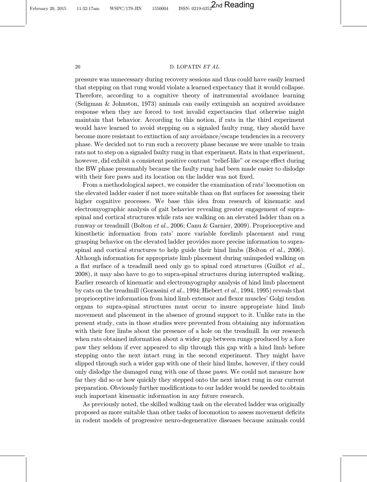February 20, 2015 11:32:17am WSPC/179-JIN 1550004 ISSN: 0219-6352 2nd Reading

#### 20 D. LOPATIN ET AL.

pressure was unnecessary during recovery sessions and thus could have easily learned that stepping on that rung would violate a learned expectancy that it would collapse. Therefore, according to a cognitive theory of instrumental avoidance learning [\(Seligman & Johnston, 1973\)](#page-23-0) animals can easily extinguish an acquired avoidance response when they are forced to test invalid expectancies that otherwise might maintain that behavior. According to this notion, if rats in the third experiment would have learned to avoid stepping on a signaled faulty rung, they should have become more resistant to extinction of any avoidance/escape tendencies in a recovery phase. We decided not to run such a recovery phase because we were unable to train rats not to step on a signaled faulty rung in that experiment. Rats in that experiment, however, did exhibit a consistent positive contrast "relief-like" or escape effect during the BW phase presumably because the faulty rung had been made easier to dislodge with their fore paws and its location on the ladder was not fixed.

From a methodological aspect, we consider the examination of rats' locomotion on the elevated ladder easier if not more suitable than on flat surfaces for assessing their higher cognitive processes. We base this idea from research of kinematic and electromyographic analysis of gait behavior revealing greater engagement of supraspinal and cortical structures while rats are walking on an elevated ladder than on a runway or treadmill [\(Bolton](#page-22-0) et al., [2006; Canu & Garnier](#page-22-0), [2009\)](#page-22-0). Proprioceptive and kinesthetic information from rats' more variable forelimb placement and rung grasping behavior on the elevated ladder provides more precise information to supra-spinal and cortical structures to help guide their hind limbs ([Bolton](#page-22-0)  $et al., 2006$  $et al., 2006$ ). Although information for appropriate limb placement during unimpeded walking on a flat surface of a treadmill need only go to spinal cord structures [\(Guillot](#page-23-0)  $et al.,$ [2008\)](#page-23-0), it may also have to go to supra-spinal structures during interrupted walking. Earlier research of kinematic and electromyography analysis of hind limb placement by cats on the treadmill [\(Gorassini](#page-23-0) et al., [1994; Hiebert](#page-23-0) et al., [1994, 1995](#page-23-0)) reveals that proprioceptive information from hind limb extensor and flexor muscles' Golgi tendon organs to supra-spinal structures must occur to insure appropriate hind limb movement and placement in the absence of ground support to it. Unlike rats in the present study, cats in those studies were prevented from obtaining any information with their fore limbs about the presence of a hole on the treadmill. In our research when rats obtained information about a wider gap between rungs produced by a fore paw they seldom if ever appeared to slip through this gap with a hind limb before stepping onto the next intact rung in the second experiment. They might have slipped through such a wider gap with one of their hind limbs, however, if they could only dislodge the damaged rung with one of those paws. We could not measure how far they did so or how quickly they stepped onto the next intact rung in our current preparation. Obviously further modifications to our ladder would be needed to obtain such important kinematic information in any future research.

As previously noted, the skilled walking task on the elevated ladder was originally proposed as more suitable than other tasks of locomotion to assess movement deficits in rodent models of progressive neuro-degenerative diseases because animals could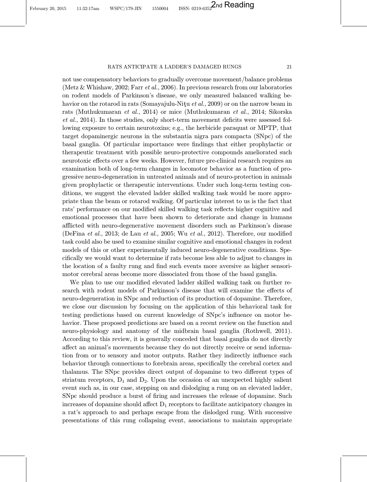not use compensatory behaviors to gradually overcome movement/balance problems [\(Metz & Whishaw](#page-23-0), [2002](#page-23-0); Farr [et al.](#page-23-0), [2006](#page-23-0)). In previous research from our laboratories on rodent models of Parkinson's disease, we only measured balanced walking be-havior on the rotarod in rats ([Somayajulu-Ni](#page-24-0)tu  $et al., 2009$  $et al., 2009$ ) or on the narrow beam in rats (Muthukumaran et al., 2014) or mice (Muthukumaran et al., 2014; Sikorska  $et al., 2014$ . In those studies, only short-term movement deficits were assessed following exposure to certain neurotoxins; e.g., the herbicide paraquat or MPTP, that target dopaminergic neurons in the substantia nigra pars compacta (SNpc) of the basal ganglia. Of particular importance were findings that either prophylactic or therapeutic treatment with possible neuro-protective compounds ameliorated such neurotoxic effects over a few weeks. However, future pre-clinical research requires an examination both of long-term changes in locomotor behavior as a function of progressive neuro-degeneration in untreated animals and of neuro-protection in animals given prophylactic or therapeutic interventions. Under such long-term testing conditions, we suggest the elevated ladder skilled walking task would be more appropriate than the beam or rotarod walking. Of particular interest to us is the fact that rats' performance on our modified skilled walking task reflects higher cognitive and emotional processes that have been shown to deteriorate and change in humans afflicted with neuro-degenerative movement disorders such as Parkinson's disease [\(DeFina](#page-22-0) et al., [2013](#page-22-0); [de Lau](#page-22-0) et al., [2005](#page-22-0); Wu [et al.](#page-24-0), [2012](#page-24-0)). Therefore, our modified task could also be used to examine similar cognitive and emotional changes in rodent models of this or other experimentally induced neuro-degenerative conditions. Specifically we would want to determine if rats become less able to adjust to changes in the location of a faulty rung and find such events more aversive as higher sensorimotor cerebral areas become more dissociated from those of the basal ganglia.

We plan to use our modified elevated ladder skilled walking task on further research with rodent models of Parkinson's disease that will examine the effects of neuro-degeneration in SNpc and reduction of its production of dopamine. Therefore, we close our discussion by focusing on the application of this behavioral task for testing predictions based on current knowledge of SNpc's influence on motor behavior. These proposed predictions are based on a recent review on the function and neuro-physiology and anatomy of the midbrain basal ganglia [\(Rothwell, 2011](#page-23-0)). According to this review, it is generally conceded that basal ganglia do not directly affect an animal's movements because they do not directly receive or send information from or to sensory and motor outputs. Rather they indirectly influence such behavior through connections to forebrain areas, specifically the cerebral cortex and thalamus. The SN<sub>pc</sub> provides direct output of dopamine to two different types of striatum receptors,  $D_1$  and  $D_2$ . Upon the occasion of an unexpected highly salient event such as, in our case, stepping on and dislodging a rung on an elevated ladder, SNpc should produce a burst of firing and increases the release of dopamine. Such increases of dopamine should affect  $D_1$  receptors to facilitate anticipatory changes in a rat's approach to and perhaps escape from the dislodged rung. With successive presentations of this rung collapsing event, associations to maintain appropriate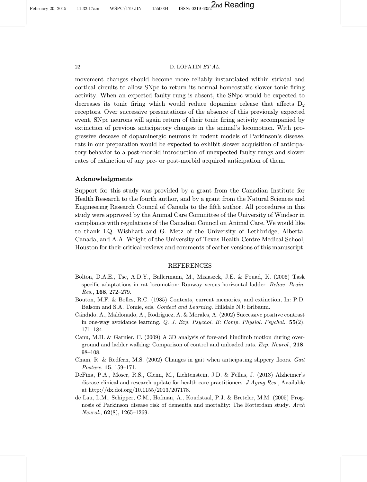<span id="page-22-0"></span>February 20, 2015 11:32:17am WSPC/179-JIN 1550004 ISSN: 0219-6352 2nd Reading

#### 22 D. LOPATIN ET AL.

movement changes should become more reliably instantiated within striatal and cortical circuits to allow SNpc to return its normal homeostatic slower tonic firing activity. When an expected faulty rung is absent, the SNpc would be expected to decreases its tonic firing which would reduce dopamine release that affects  $D_2$ receptors. Over successive presentations of the absence of this previously expected event, SNpc neurons will again return of their tonic firing activity accompanied by extinction of previous anticipatory changes in the animal's locomotion. With progressive decease of dopaminergic neurons in rodent models of Parkinson's disease, rats in our preparation would be expected to exhibit slower acquisition of anticipatory behavior to a post-morbid introduction of unexpected faulty rungs and slower rates of extinction of any pre- or post-morbid acquired anticipation of them.

## Acknowledgments

Support for this study was provided by a grant from the Canadian Institute for Health Research to the fourth author, and by a grant from the Natural Sciences and Engineering Research Council of Canada to the fifth author. All procedures in this study were approved by the Animal Care Committee of the University of Windsor in compliance with regulations of the Canadian Council on Animal Care. We would like to thank I.Q. Wishhart and G. Metz of the University of Lethbridge, Alberta, Canada, and A.A. Wright of the University of Texas Health Centre Medical School, Houston for their critical reviews and comments of earlier versions of this manuscript.

## REFERENCES

- Bolton, D.A.E., Tse, A.D.Y., Ballermann, M., Misiaszek, J.E. & Fouad, K. (2006) Task specific adaptations in rat locomotion: Runway versus horizontal ladder. Behav. Brain. Res., 168, 272–279.
- Bouton, M.F. & Bolles, R.C. (1985) Contexts, current memories, and extinction, In: P.D. Balsom and S.A. Tomie, eds. Context and Learning. Hilldale NJ: Erlbaum.
- Candido, A., Maldonado, A., Rodríguez, A. & Morales, A. (2002) Successive positive contrast in one-way avoidance learning.  $Q.$  J. Exp. Psychol. B: Comp. Physiol. Psychol.,  $55(2)$ , 171–184.
- Canu, M.H. & Garnier, C. (2009) A 3D analysis of fore-and hindlimb motion during overground and ladder walking: Comparison of control and unloaded rats. Exp. Neurol., 218, 98–108.
- Cham, R. & Redfern, M.S. (2002) Changes in gait when anticipating slippery floors. Gait Posture, 15, 159–171.
- DeFina, P.A., Moser, R.S., Glenn, M., Lichtenstein, J.D. & Fellus, J. (2013) Alzheimer's disease clinical and research update for health care practitioners. J Aging Res., Available at http://dx.doi.org/10.1155/2013/207178.
- de Lau, L.M., Schipper, C.M., Hofman, A., Koudstaal, P.J. & Breteler, M.M. (2005) Prognosis of Parkinson disease risk of dementia and mortality: The Rotterdam study. Arch Neurol., 62(8), 1265–1269.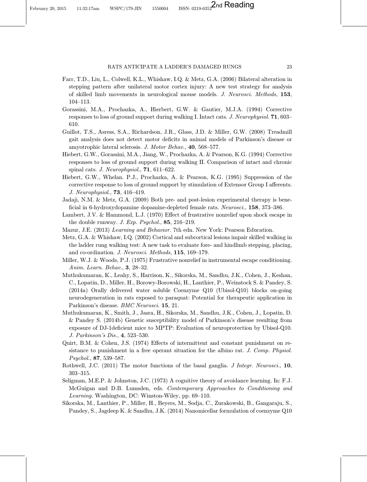- <span id="page-23-0"></span>Farr, T.D., Liu, L., Colwell, K.L., Whishaw, I.Q. & Metz, G.A. (2006) Bilateral alteration in stepping pattern after unilateral motor cortex injury: A new test strategy for analysis of skilled limb movements in neurological mouse models. J. Neurosci. Methods, 153, 104–113.
- Gorassini, M.A., Prochazka, A., Hierbert, G.W. & Gautier, M.J.A. (1994) Corrective responses to loss of ground support during walking I. Intact cats. J. Neurophysiol. 71, 603– 610.
- Guillot, T.S., Asress, S.A., Richardson, J.R., Glass, J.D. & Miller, G.W. (2008) Treadmill gait analysis does not detect motor deficits in animal models of Parkinson's disease or amyotrophic lateral sclerosis. J. Motor Behav., 40, 568–577.
- Hiebert, G.W., Gorassini, M.A., Jiang, W., Prochazka, A. & Pearson, K.G. (1994) Corrective responses to loss of ground support during walking II. Comparison of intact and chronic spinal cats. J. Neurophysiol., **71**, 611–622.
- Hiebert, G.W., Whelan. P.J., Prochazka, A. & Pearson, K.G. (1995) Suppression of the corrective response to loss of ground support by stimulation of Extensor Group I afferents. J. Neurophysiol., 73, 416–419.
- Jadaji, N.M. & Metz, G.A. (2009) Both pre- and post-lesion experimental therapy is bene ficial in 6-hydroxydopamine dopamine-depleted female rats. Neurosci., 158, 373–386.
- Lambert, J.V. & Hammond, L.J.  $(1970)$  Effect of frustrative nonrelief upon shock escape in the double runway. J. Exp. Psychol., 85, 216–219.
- Mazur, J.E. (2013) Learning and Behavior. 7th edn. New York: Pearson Education.
- Metz, G.A. & Whishaw, I.Q. (2002) Cortical and subcortical lesions impair skilled walking in the ladder rung walking test: A new task to evaluate fore- and hindlimb stepping, placing, and co-ordination. J. Neurosci. Methods, 115, 169–179.
- Miller, W.J. & Woods, P.J. (1975) Frustrative nonrelief in instrumental escape conditioning. Anim. Learn. Behav., 3, 28–32.
- Muthukumaran, K., Leahy, S., Harrison, K., Sikorska, M., Sandhu, J.K., Cohen, J., Keshan, C., Lopatin, D., Miller, H., Borowy-Borowski, H., Lanthier, P., Weinstock S. & Pandey, S. (2014a) Orally delivered water soluble Coenzyme Q10 (Ubisol-Q10) blocks on-going neurodegeneration in rats exposed to paraquat: Potential for therapeutic application in Parkinson's disease. BMC Neurosci. 15, 21.
- Muthukumaran, K., Smith, J., Jasra, H., Sikorska, M., Sandhu, J.K., Cohen, J., Lopatin, D. & Pandey S. (2014b) Genetic susceptibility model of Parkinson's disease resulting from exposure of DJ-1deficient mice to MPTP: Evaluation of neuroprotection by Ubisol-Q10. J. Parkinson's Dis., 4, 523–530.
- Quirt, B.M. & Cohen, J.S.  $(1974)$  Effects of intermittent and constant punishment on resistance to punishment in a free operant situation for the albino rat. J. Comp. Physiol. Psychol., 87, 539–587.
- Rothwell, J.C. (2011) The motor functions of the basal ganglia. J Integr. Neurosci., 10, 303–315.
- Seligman, M.E.P. & Johnston, J.C. (1973) A cognitive theory of avoidance learning. In: F.J. McGuigan and D.B. Lumsden, eds. Contemporary Approaches to Conditioning and Learning. Washington, DC: Winston-Wiley, pp. 69–110.
- Sikorska, M., Lanthier, P., Miller, H., Beyers, M., Sodja, C., Zurakowski, B., Gangaraju, S., Pandey, S., Jagdeep K. & Sandhu, J.K. (2014) Nanomicellar formulation of coenzyme Q10